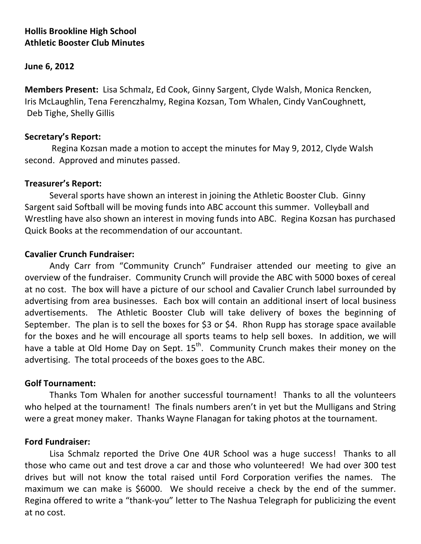# **Hollis Brookline High School Athletic Booster Club Minutes**

### **June 6, 2012**

**Members Present:** Lisa Schmalz, Ed Cook, Ginny Sargent, Clyde Walsh, Monica Rencken, Iris McLaughlin, Tena Ferenczhalmy, Regina Kozsan, Tom Whalen, Cindy VanCoughnett, Deb Tighe, Shelly Gillis

### Secretary's Report:

Regina Kozsan made a motion to accept the minutes for May 9, 2012, Clyde Walsh second. Approved and minutes passed.

### **Treasurer's Report:**

Several sports have shown an interest in joining the Athletic Booster Club. Ginny Sargent said Softball will be moving funds into ABC account this summer. Volleyball and Wrestling have also shown an interest in moving funds into ABC. Regina Kozsan has purchased Quick Books at the recommendation of our accountant.

## **Cavalier Crunch Fundraiser:**

Andy Carr from "Community Crunch" Fundraiser attended our meeting to give an overview of the fundraiser. Community Crunch will provide the ABC with 5000 boxes of cereal at no cost. The box will have a picture of our school and Cavalier Crunch label surrounded by advertising from area businesses. Each box will contain an additional insert of local business advertisements. The Athletic Booster Club will take delivery of boxes the beginning of September. The plan is to sell the boxes for \$3 or \$4. Rhon Rupp has storage space available for the boxes and he will encourage all sports teams to help sell boxes. In addition, we will have a table at Old Home Day on Sept.  $15<sup>th</sup>$ . Community Crunch makes their money on the advertising. The total proceeds of the boxes goes to the ABC.

#### **Golf&Tournament:**

Thanks Tom Whalen for another successful tournament! Thanks to all the volunteers who helped at the tournament! The finals numbers aren't in yet but the Mulligans and String were a great money maker. Thanks Wayne Flanagan for taking photos at the tournament.

#### **Ford Fundraiser:**

Lisa Schmalz reported the Drive One 4UR School was a huge success! Thanks to all those who came out and test drove a car and those who volunteered! We had over 300 test drives but will not know the total raised until Ford Corporation verifies the names. The maximum we can make is \$6000. We should receive a check by the end of the summer. Regina offered to write a "thank-you" letter to The Nashua Telegraph for publicizing the event at no cost.